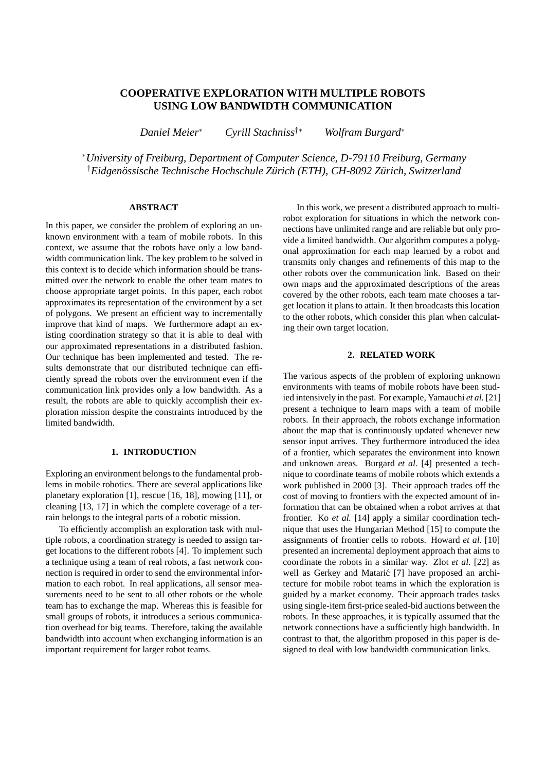## **COOPERATIVE EXPLORATION WITH MULTIPLE ROBOTS USING LOW BANDWIDTH COMMUNICATION**

*Daniel Meier*<sup>∗</sup> *Cyrill Stachniss*†∗ *Wolfram Burgard*<sup>∗</sup>

<sup>∗</sup>*University of Freiburg, Department of Computer Science, D-79110 Freiburg, Germany* †*Eidgenossische Technische Hochschule Z ¨ urich (ETH), CH-8092 Z ¨ urich, Switzerland ¨*

## **ABSTRACT**

In this paper, we consider the problem of exploring an unknown environment with a team of mobile robots. In this context, we assume that the robots have only a low bandwidth communication link. The key problem to be solved in this context is to decide which information should be transmitted over the network to enable the other team mates to choose appropriate target points. In this paper, each robot approximates its representation of the environment by a set of polygons. We present an efficient way to incrementally improve that kind of maps. We furthermore adapt an existing coordination strategy so that it is able to deal with our approximated representations in a distributed fashion. Our technique has been implemented and tested. The results demonstrate that our distributed technique can efficiently spread the robots over the environment even if the communication link provides only a low bandwidth. As a result, the robots are able to quickly accomplish their exploration mission despite the constraints introduced by the limited bandwidth.

#### **1. INTRODUCTION**

Exploring an environment belongs to the fundamental problems in mobile robotics. There are several applications like planetary exploration [1], rescue [16, 18], mowing [11], or cleaning [13, 17] in which the complete coverage of a terrain belongs to the integral parts of a robotic mission.

To efficiently accomplish an exploration task with multiple robots, a coordination strategy is needed to assign target locations to the different robots [4]. To implement such a technique using a team of real robots, a fast network connection is required in order to send the environmental information to each robot. In real applications, all sensor measurements need to be sent to all other robots or the whole team has to exchange the map. Whereas this is feasible for small groups of robots, it introduces a serious communication overhead for big teams. Therefore, taking the available bandwidth into account when exchanging information is an important requirement for larger robot teams.

In this work, we present a distributed approach to multirobot exploration for situations in which the network connections have unlimited range and are reliable but only provide a limited bandwidth. Our algorithm computes a polygonal approximation for each map learned by a robot and transmits only changes and refinements of this map to the other robots over the communication link. Based on their own maps and the approximated descriptions of the areas covered by the other robots, each team mate chooses a target location it plans to attain. It then broadcasts this location to the other robots, which consider this plan when calculating their own target location.

## **2. RELATED WORK**

The various aspects of the problem of exploring unknown environments with teams of mobile robots have been studied intensively in the past. For example, Yamauchi *et al.* [21] present a technique to learn maps with a team of mobile robots. In their approach, the robots exchange information about the map that is continuously updated whenever new sensor input arrives. They furthermore introduced the idea of a frontier, which separates the environment into known and unknown areas. Burgard *et al.* [4] presented a technique to coordinate teams of mobile robots which extends a work published in 2000 [3]. Their approach trades off the cost of moving to frontiers with the expected amount of information that can be obtained when a robot arrives at that frontier. Ko *et al.* [14] apply a similar coordination technique that uses the Hungarian Method [15] to compute the assignments of frontier cells to robots. Howard *et al.* [10] presented an incremental deployment approach that aims to coordinate the robots in a similar way. Zlot *et al.* [22] as well as Gerkey and Matarić [7] have proposed an architecture for mobile robot teams in which the exploration is guided by a market economy. Their approach trades tasks using single-item first-price sealed-bid auctions between the robots. In these approaches, it is typically assumed that the network connections have a sufficiently high bandwidth. In contrast to that, the algorithm proposed in this paper is designed to deal with low bandwidth communication links.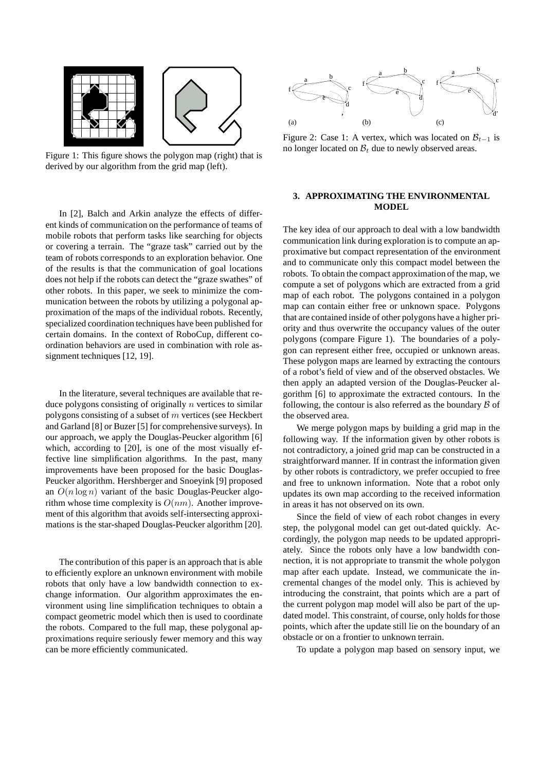

Figure 1: This figure shows the polygon map (right) that is derived by our algorithm from the grid map (left).

In [2], Balch and Arkin analyze the effects of different kinds of communication on the performance of teams of mobile robots that perform tasks like searching for objects or covering a terrain. The "graze task" carried out by the team of robots corresponds to an exploration behavior. One of the results is that the communication of goal locations does not help if the robots can detect the "graze swathes" of other robots. In this paper, we seek to minimize the communication between the robots by utilizing a polygonal approximation of the maps of the individual robots. Recently, specialized coordination techniques have been published for certain domains. In the context of RoboCup, different coordination behaviors are used in combination with role assignment techniques [12, 19].

In the literature, several techniques are available that reduce polygons consisting of originally  $n$  vertices to similar polygons consisting of a subset of  $m$  vertices (see Heckbert and Garland [8] or Buzer [5] for comprehensive surveys). In our approach, we apply the Douglas-Peucker algorithm [6] which, according to [20], is one of the most visually effective line simplification algorithms. In the past, many improvements have been proposed for the basic Douglas-Peucker algorithm. Hershberger and Snoeyink [9] proposed an  $O(n \log n)$  variant of the basic Douglas-Peucker algorithm whose time complexity is  $O(nm)$ . Another improvement of this algorithm that avoids self-intersecting approximations is the star-shaped Douglas-Peucker algorithm [20].

The contribution of this paper is an approach that is able to efficiently explore an unknown environment with mobile robots that only have a low bandwidth connection to exchange information. Our algorithm approximates the environment using line simplification techniques to obtain a compact geometric model which then is used to coordinate the robots. Compared to the full map, these polygonal approximations require seriously fewer memory and this way can be more efficiently communicated.



Figure 2: Case 1: A vertex, which was located on  $\mathcal{B}_{t-1}$  is no longer located on  $\mathcal{B}_t$  due to newly observed areas.

## **3. APPROXIMATING THE ENVIRONMENTAL MODEL**

The key idea of our approach to deal with a low bandwidth communication link during exploration is to compute an approximative but compact representation of the environment and to communicate only this compact model between the robots. To obtain the compact approximation of the map, we compute a set of polygons which are extracted from a grid map of each robot. The polygons contained in a polygon map can contain either free or unknown space. Polygons that are contained inside of other polygons have a higher priority and thus overwrite the occupancy values of the outer polygons (compare Figure 1). The boundaries of a polygon can represent either free, occupied or unknown areas. These polygon maps are learned by extracting the contours of a robot's field of view and of the observed obstacles. We then apply an adapted version of the Douglas-Peucker algorithm [6] to approximate the extracted contours. In the following, the contour is also referred as the boundary  $\beta$  of the observed area.

We merge polygon maps by building a grid map in the following way. If the information given by other robots is not contradictory, a joined grid map can be constructed in a straightforward manner. If in contrast the information given by other robots is contradictory, we prefer occupied to free and free to unknown information. Note that a robot only updates its own map according to the received information in areas it has not observed on its own.

Since the field of view of each robot changes in every step, the polygonal model can get out-dated quickly. Accordingly, the polygon map needs to be updated appropriately. Since the robots only have a low bandwidth connection, it is not appropriate to transmit the whole polygon map after each update. Instead, we communicate the incremental changes of the model only. This is achieved by introducing the constraint, that points which are a part of the current polygon map model will also be part of the updated model. This constraint, of course, only holds for those points, which after the update still lie on the boundary of an obstacle or on a frontier to unknown terrain.

To update a polygon map based on sensory input, we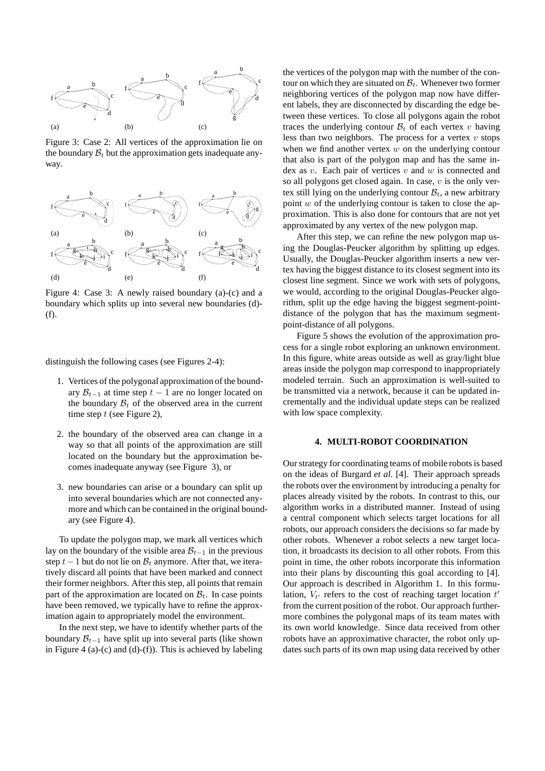

Figure 3: Case 2: All vertices of the approximation lie on the boundary  $B_t$  but the approximation gets inadequate anyway.



Figure 4: Case 3: A newly raised boundary (a)-(c) and a boundary which splits up into several new boundaries (d)- (f).

distinguish the following cases (see Figures 2-4):

- 1. Vertices of the polygonal approximation of the boundary  $B_{t-1}$  at time step  $t-1$  are no longer located on the boundary  $\mathcal{B}_t$  of the observed area in the current time step  $t$  (see Figure 2),
- 2. the boundary of the observed area can change in a way so that all points of the approximation are still located on the boundary but the approximation becomes inadequate anyway (see Figure 3), or
- 3. new boundaries can arise or a boundary can split up into several boundaries which are not connected anymore and which can be contained in the original boundary (see Figure 4).

To update the polygon map, we mark all vertices which lay on the boundary of the visible area  $B_{t-1}$  in the previous step  $t-1$  but do not lie on  $\mathcal{B}_t$  anymore. After that, we iteratively discard all points that have been marked and connect their former neighbors. After this step, all points that remain part of the approximation are located on  $B_t$ . In case points have been removed, we typically have to refine the approximation again to appropriately model the environment.

In the next step, we have to identify whether parts of the boundary  $\mathcal{B}_{t-1}$  have split up into several parts (like shown in Figure 4 (a)-(c) and (d)-(f)). This is achieved by labeling

the vertices of the polygon map with the number of the contour on which they are situated on  $B_t$ . Whenever two former neighboring vertices of the polygon map now have different labels, they are disconnected by discarding the edge between these vertices. To close all polygons again the robot traces the underlying contour  $B_t$  of each vertex v having less than two neighbors. The process for a vertex  $v$  stops when we find another vertex  $w$  on the underlying contour that also is part of the polygon map and has the same index as  $v$ . Each pair of vertices  $v$  and  $w$  is connected and so all polygons get closed again. In case,  $v$  is the only vertex still lying on the underlying contour  $B_t$ , a new arbitrary point  $w$  of the underlying contour is taken to close the approximation. This is also done for contours that are not yet approximated by any vertex of the new polygon map.

After this step, we can refine the new polygon map using the Douglas-Peucker algorithm by splitting up edges. Usually, the Douglas-Peucker algorithm inserts a new vertex having the biggest distance to its closest segment into its closest line segment. Since we work with sets of polygons, we would, according to the original Douglas-Peucker algorithm, split up the edge having the biggest segment-pointdistance of the polygon that has the maximum segmentpoint-distance of all polygons.

Figure 5 shows the evolution of the approximation process for a single robot exploring an unknown environment. In this figure, white areas outside as well as gray/light blue areas inside the polygon map correspond to inappropriately modeled terrain. Such an approximation is well-suited to be transmitted via a network, because it can be updated incrementally and the individual update steps can be realized with low space complexity.

#### **4. MULTI-ROBOT COORDINATION**

Our strategy for coordinating teams of mobile robots is based on the ideas of Burgard *et al.* [4]. Their approach spreads the robots over the environment by introducing a penalty for places already visited by the robots. In contrast to this, our algorithm works in a distributed manner. Instead of using a central component which selects target locations for all robots, our approach considers the decisions so far made by other robots. Whenever a robot selects a new target location, it broadcasts its decision to all other robots. From this point in time, the other robots incorporate this information into their plans by discounting this goal according to [4]. Our approach is described in Algorithm 1. In this formulation,  $V_{t'}$  refers to the cost of reaching target location  $t'$ from the current position of the robot. Our approach furthermore combines the polygonal maps of its team mates with its own world knowledge. Since data received from other robots have an approximative character, the robot only updates such parts of its own map using data received by other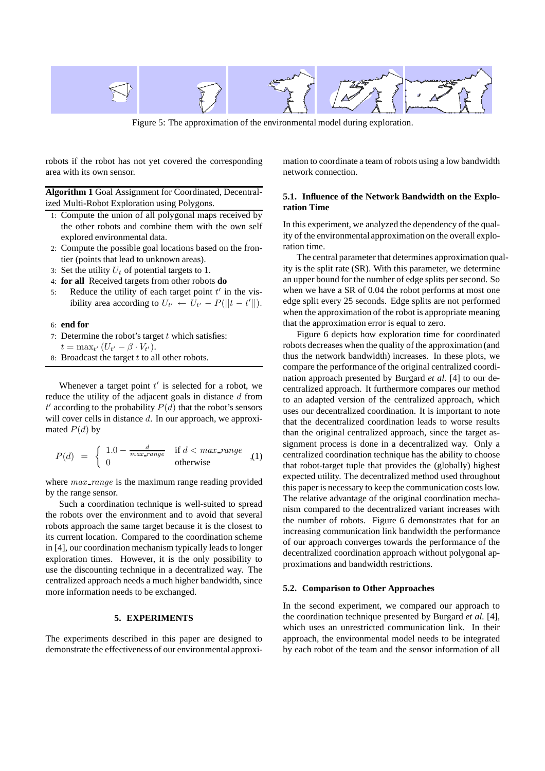

Figure 5: The approximation of the environmental model during exploration.

robots if the robot has not yet covered the corresponding area with its own sensor.

**Algorithm 1** Goal Assignment for Coordinated, Decentralized Multi-Robot Exploration using Polygons.

- 1: Compute the union of all polygonal maps received by the other robots and combine them with the own self explored environmental data.
- 2: Compute the possible goal locations based on the frontier (points that lead to unknown areas).
- 3: Set the utility  $U_t$  of potential targets to 1.
- 4: **for all** Received targets from other robots **do**
- 5: Reduce the utility of each target point  $t'$  in the visibility area according to  $U_{t'} \leftarrow U_{t'} - P(||t - t'||)$ .

### 6: **end for**

- 7: Determine the robot's target  $t$  which satisfies:  $t = \max_{t'} (U_{t'} - \beta \cdot V_{t'}).$
- 8: Broadcast the target  $t$  to all other robots.

Whenever a target point  $t'$  is selected for a robot, we reduce the utility of the adjacent goals in distance  $d$  from  $t'$  according to the probability  $P(d)$  that the robot's sensors will cover cells in distance d. In our approach, we approximated  $P(d)$  by

$$
P(d) = \begin{cases} 1.0 - \frac{d}{max\_range} & \text{if } d < max\_range \\ 0 & \text{otherwise} \end{cases} \tag{1}
$$

where *max\_range* is the maximum range reading provided by the range sensor.

Such a coordination technique is well-suited to spread the robots over the environment and to avoid that several robots approach the same target because it is the closest to its current location. Compared to the coordination scheme in [4], our coordination mechanism typically leads to longer exploration times. However, it is the only possibility to use the discounting technique in a decentralized way. The centralized approach needs a much higher bandwidth, since more information needs to be exchanged.

## **5. EXPERIMENTS**

The experiments described in this paper are designed to demonstrate the effectiveness of our environmental approximation to coordinate a team of robots using a low bandwidth network connection.

### **5.1. Influence of the Network Bandwidth on the Exploration Time**

In this experiment, we analyzed the dependency of the quality of the environmental approximation on the overall exploration time.

The central parameter that determines approximation quality is the split rate (SR). With this parameter, we determine an upper bound for the number of edge splits per second. So when we have a SR of 0.04 the robot performs at most one edge split every 25 seconds. Edge splits are not performed when the approximation of the robot is appropriate meaning that the approximation error is equal to zero.

Figure 6 depicts how exploration time for coordinated robots decreases when the quality of the approximation (and thus the network bandwidth) increases. In these plots, we compare the performance of the original centralized coordination approach presented by Burgard *et al.* [4] to our decentralized approach. It furthermore compares our method to an adapted version of the centralized approach, which uses our decentralized coordination. It is important to note that the decentralized coordination leads to worse results than the original centralized approach, since the target assignment process is done in a decentralized way. Only a centralized coordination technique has the ability to choose that robot-target tuple that provides the (globally) highest expected utility. The decentralized method used throughout this paper is necessary to keep the communication costs low. The relative advantage of the original coordination mechanism compared to the decentralized variant increases with the number of robots. Figure 6 demonstrates that for an increasing communication link bandwidth the performance of our approach converges towards the performance of the decentralized coordination approach without polygonal approximations and bandwidth restrictions.

#### **5.2. Comparison to Other Approaches**

In the second experiment, we compared our approach to the coordination technique presented by Burgard *et al.* [4], which uses an unrestricted communication link. In their approach, the environmental model needs to be integrated by each robot of the team and the sensor information of all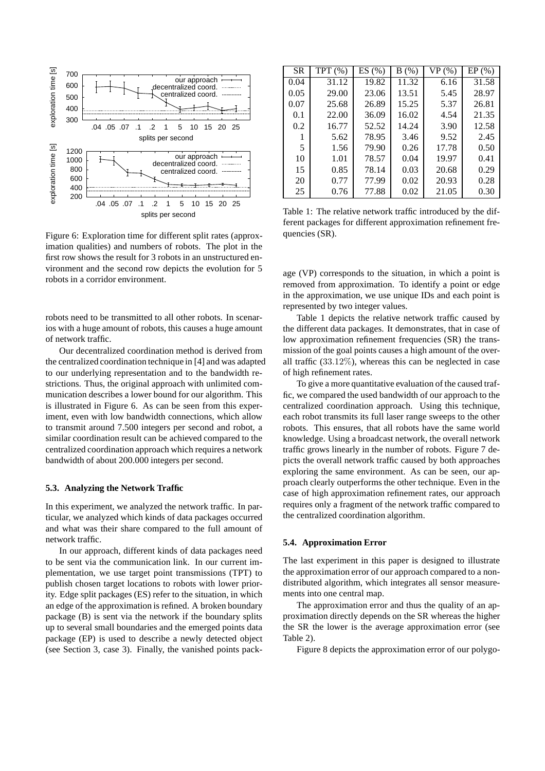

Figure 6: Exploration time for different split rates (approximation qualities) and numbers of robots. The plot in the first row shows the result for 3 robots in an unstructured environment and the second row depicts the evolution for 5 robots in a corridor environment.

robots need to be transmitted to all other robots. In scenarios with a huge amount of robots, this causes a huge amount of network traffic.

Our decentralized coordination method is derived from the centralized coordination technique in [4] and was adapted to our underlying representation and to the bandwidth restrictions. Thus, the original approach with unlimited communication describes a lower bound for our algorithm. This is illustrated in Figure 6. As can be seen from this experiment, even with low bandwidth connections, which allow to transmit around 7.500 integers per second and robot, a similar coordination result can be achieved compared to the centralized coordination approach which requires a network bandwidth of about 200.000 integers per second.

#### **5.3. Analyzing the Network Traffic**

In this experiment, we analyzed the network traffic. In particular, we analyzed which kinds of data packages occurred and what was their share compared to the full amount of network traffic.

In our approach, different kinds of data packages need to be sent via the communication link. In our current implementation, we use target point transmissions (TPT) to publish chosen target locations to robots with lower priority. Edge split packages (ES) refer to the situation, in which an edge of the approximation is refined. A broken boundary package (B) is sent via the network if the boundary splits up to several small boundaries and the emerged points data package (EP) is used to describe a newly detected object (see Section 3, case 3). Finally, the vanished points pack-

| <b>SR</b> | TPT $(\% )$ | ES(%) | B(%)  | VP (%) | EP(%) |
|-----------|-------------|-------|-------|--------|-------|
| 0.04      | 31.12       | 19.82 | 11.32 | 6.16   | 31.58 |
| 0.05      | 29.00       | 23.06 | 13.51 | 5.45   | 28.97 |
| 0.07      | 25.68       | 26.89 | 15.25 | 5.37   | 26.81 |
| 0.1       | 22.00       | 36.09 | 16.02 | 4.54   | 21.35 |
| 0.2       | 16.77       | 52.52 | 14.24 | 3.90   | 12.58 |
|           | 5.62        | 78.95 | 3.46  | 9.52   | 2.45  |
| 5         | 1.56        | 79.90 | 0.26  | 17.78  | 0.50  |
| 10        | 1.01        | 78.57 | 0.04  | 19.97  | 0.41  |
| 15        | 0.85        | 78.14 | 0.03  | 20.68  | 0.29  |
| 20        | 0.77        | 77.99 | 0.02  | 20.93  | 0.28  |
| 25        | 0.76        | 77.88 | 0.02  | 21.05  | 0.30  |

Table 1: The relative network traffic introduced by the different packages for different approximation refinement frequencies (SR).

age (VP) corresponds to the situation, in which a point is removed from approximation. To identify a point or edge in the approximation, we use unique IDs and each point is represented by two integer values.

Table 1 depicts the relative network traffic caused by the different data packages. It demonstrates, that in case of low approximation refinement frequencies (SR) the transmission of the goal points causes a high amount of the overall traffic (33.12%), whereas this can be neglected in case of high refinement rates.

To give a more quantitative evaluation of the caused traffic, we compared the used bandwidth of our approach to the centralized coordination approach. Using this technique, each robot transmits its full laser range sweeps to the other robots. This ensures, that all robots have the same world knowledge. Using a broadcast network, the overall network traffic grows linearly in the number of robots. Figure 7 depicts the overall network traffic caused by both approaches exploring the same environment. As can be seen, our approach clearly outperforms the other technique. Even in the case of high approximation refinement rates, our approach requires only a fragment of the network traffic compared to the centralized coordination algorithm.

#### **5.4. Approximation Error**

The last experiment in this paper is designed to illustrate the approximation error of our approach compared to a nondistributed algorithm, which integrates all sensor measurements into one central map.

The approximation error and thus the quality of an approximation directly depends on the SR whereas the higher the SR the lower is the average approximation error (see Table 2).

Figure 8 depicts the approximation error of our polygo-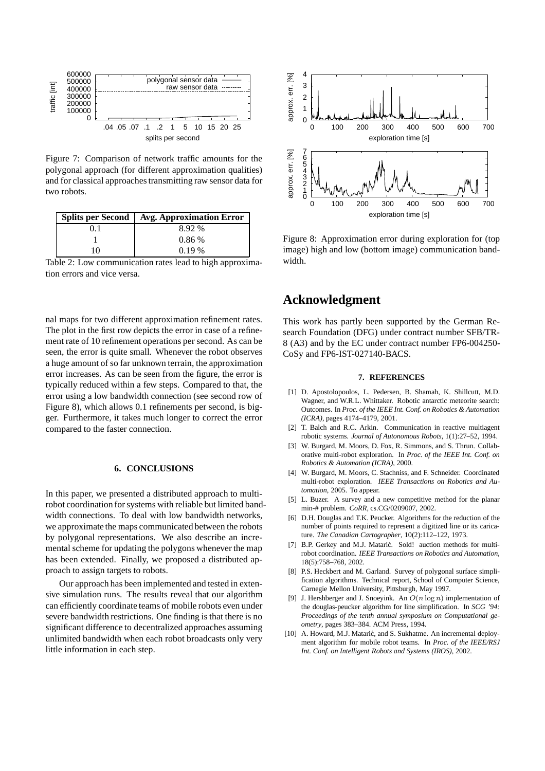

Figure 7: Comparison of network traffic amounts for the polygonal approach (for different approximation qualities) and for classical approaches transmitting raw sensor data for two robots.

|    | <b>Splits per Second   Avg. Approximation Error</b> |
|----|-----------------------------------------------------|
| 01 | 8.92 %                                              |
|    | 0.86%                                               |
| 10 | $0.19\%$                                            |

Table 2: Low communication rates lead to high approximation errors and vice versa.

nal maps for two different approximation refinement rates. The plot in the first row depicts the error in case of a refinement rate of 10 refinement operations per second. As can be seen, the error is quite small. Whenever the robot observes a huge amount of so far unknown terrain, the approximation error increases. As can be seen from the figure, the error is typically reduced within a few steps. Compared to that, the error using a low bandwidth connection (see second row of Figure 8), which allows 0.1 refinements per second, is bigger. Furthermore, it takes much longer to correct the error compared to the faster connection.

## **6. CONCLUSIONS**

In this paper, we presented a distributed approach to multirobot coordination for systems with reliable but limited bandwidth connections. To deal with low bandwidth networks, we approximate the maps communicated between the robots by polygonal representations. We also describe an incremental scheme for updating the polygons whenever the map has been extended. Finally, we proposed a distributed approach to assign targets to robots.

Our approach has been implemented and tested in extensive simulation runs. The results reveal that our algorithm can efficiently coordinate teams of mobile robots even under severe bandwidth restrictions. One finding is that there is no significant difference to decentralized approaches assuming unlimited bandwidth when each robot broadcasts only very little information in each step.



Figure 8: Approximation error during exploration for (top image) high and low (bottom image) communication bandwidth.

# **Acknowledgment**

This work has partly been supported by the German Research Foundation (DFG) under contract number SFB/TR-8 (A3) and by the EC under contract number FP6-004250- CoSy and FP6-IST-027140-BACS.

#### **7. REFERENCES**

- [1] D. Apostolopoulos, L. Pedersen, B. Shamah, K. Shillcutt, M.D. Wagner, and W.R.L. Whittaker. Robotic antarctic meteorite search: Outcomes. In *Proc. of the IEEE Int. Conf. on Robotics & Automation (ICRA)*, pages 4174–4179, 2001.
- [2] T. Balch and R.C. Arkin. Communication in reactive multiagent robotic systems. *Journal of Autonomous Robots*, 1(1):27–52, 1994.
- [3] W. Burgard, M. Moors, D. Fox, R. Simmons, and S. Thrun. Collaborative multi-robot exploration. In *Proc. of the IEEE Int. Conf. on Robotics & Automation (ICRA)*, 2000.
- [4] W. Burgard, M. Moors, C. Stachniss, and F. Schneider. Coordinated multi-robot exploration. *IEEE Transactions on Robotics and Automation*, 2005. To appear.
- [5] L. Buzer. A survey and a new competitive method for the planar min-# problem. *CoRR*, cs.CG/0209007, 2002.
- [6] D.H. Douglas and T.K. Peucker. Algorithms for the reduction of the number of points required to represent a digitized line or its caricature. *The Canadian Cartographer*, 10(2):112–122, 1973.
- [7] B.P. Gerkey and M.J. Matarić. Sold! auction methods for multirobot coordination. *IEEE Transactions on Robotics and Automation*, 18(5):758–768, 2002.
- [8] P.S. Heckbert and M. Garland. Survey of polygonal surface simplification algorithms. Technical report, School of Computer Science, Carnegie Mellon University, Pittsburgh, May 1997.
- [9] J. Hershberger and J. Snoeyink. An  $O(n \log n)$  implementation of the douglas-peucker algorithm for line simplification. In *SCG '94: Proceedings of the tenth annual symposium on Computational geometry*, pages 383–384. ACM Press, 1994.
- [10] A. Howard, M.J. Matarić, and S. Sukhatme. An incremental deployment algorithm for mobile robot teams. In *Proc. of the IEEE/RSJ Int. Conf. on Intelligent Robots and Systems (IROS)*, 2002.